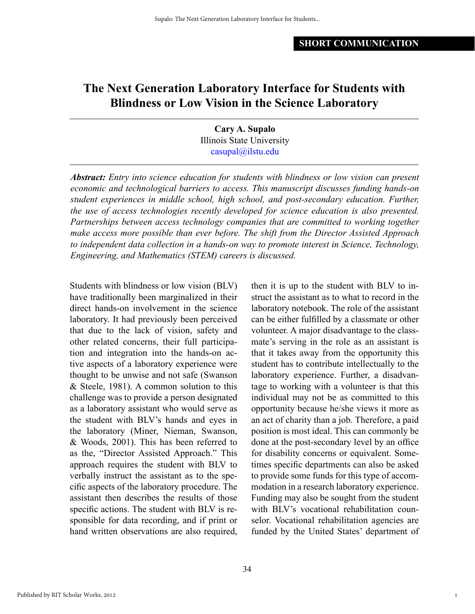# **The Next Generation Laboratory Interface for Students with Blindness or Low Vision in the Science Laboratory**

**Cary A. Supalo** Illinois State University [casupal@ilstu.edu](mailto:casupal%40ilstu.edu?subject=)

*Abstract: Entry into science education for students with blindness or low vision can present economic and technological barriers to access. This manuscript discusses funding hands-on student experiences in middle school, high school, and post-secondary education. Further, the use of access technologies recently developed for science education is also presented. Partnerships between access technology companies that are committed to working together make access more possible than ever before. The shift from the Director Assisted Approach to independent data collection in a hands-on way to promote interest in Science, Technology, Engineering, and Mathematics (STEM) careers is discussed.*

Students with blindness or low vision (BLV) have traditionally been marginalized in their direct hands-on involvement in the science laboratory. It had previously been perceived that due to the lack of vision, safety and other related concerns, their full participation and integration into the hands-on active aspects of a laboratory experience were thought to be unwise and not safe (Swanson & Steele, 1981). A common solution to this challenge was to provide a person designated as a laboratory assistant who would serve as the student with BLV's hands and eyes in the laboratory (Miner, Nieman, Swanson, & Woods, 2001). This has been referred to as the, "Director Assisted Approach." This approach requires the student with BLV to verbally instruct the assistant as to the specific aspects of the laboratory procedure. The assistant then describes the results of those specific actions. The student with BLV is responsible for data recording, and if print or hand written observations are also required, then it is up to the student with BLV to instruct the assistant as to what to record in the laboratory notebook. The role of the assistant can be either fulfilled by a classmate or other volunteer. A major disadvantage to the classmate's serving in the role as an assistant is that it takes away from the opportunity this student has to contribute intellectually to the laboratory experience. Further, a disadvantage to working with a volunteer is that this individual may not be as committed to this opportunity because he/she views it more as an act of charity than a job. Therefore, a paid position is most ideal. This can commonly be done at the post-secondary level by an office for disability concerns or equivalent. Sometimes specific departments can also be asked to provide some funds for this type of accommodation in a research laboratory experience. Funding may also be sought from the student with BLV's vocational rehabilitation counselor. Vocational rehabilitation agencies are funded by the United States' department of

1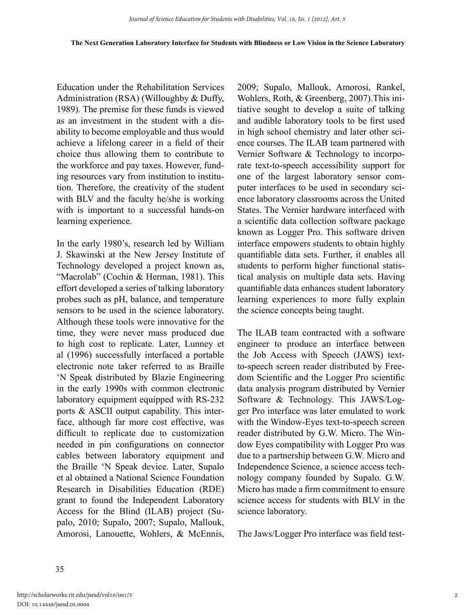Education under the Rehabilitation Services Administration (RSA) (Willoughby & Duffy, 1989). The premise for these funds is viewed as an investment in the student with a disability to become employable and thus would achieve a lifelong career in a field of their choice thus allowing them to contribute to the workforce and pay taxes. However, funding resources vary from institution to institution. Therefore, the creativity of the student with BLV and the faculty he/she is working with is important to a successful hands-on learning experience.

In the early 1980's, research led by William J. Skawinski at the New Jersey Institute of Technology developed a project known as, "Macrolab" (Cochin & Herman, 1981). This effort developed a series of talking laboratory probes such as pH, balance, and temperature sensors to be used in the science laboratory. Although these tools were innovative for the time, they were never mass produced due to high cost to replicate. Later, Lunney et al (1996) successfully interfaced a portable electronic note taker referred to as Braille 'N Speak distributed by Blazie Engineering in the early 1990s with common electronic laboratory equipment equipped with RS-232 ports & ASCII output capability. This interface, although far more cost effective, was difficult to replicate due to customization needed in pin configurations on connector cables between laboratory equipment and the Braille 'N Speak device. Later, Supalo et al obtained a National Science Foundation Research in Disabilities Education (RDE) grant to found the Independent Laboratory Access for the Blind (ILAB) project (Supalo, 2010; Supalo, 2007; Supalo, Mallouk, Amorosi, Lanouette, Wohlers, & McEnnis,

2009; Supalo, Mallouk, Amorosi, Rankel, Wohlers, Roth, & Greenberg, 2007).This initiative sought to develop a suite of talking and audible laboratory tools to be first used in high school chemistry and later other science courses. The ILAB team partnered with Vernier Software & Technology to incorporate text-to-speech accessibility support for one of the largest laboratory sensor computer interfaces to be used in secondary science laboratory classrooms across the United States. The Vernier hardware interfaced with a scientific data collection software package known as Logger Pro. This software driven interface empowers students to obtain highly quantifiable data sets. Further, it enables all students to perform higher functional statistical analysis on multiple data sets. Having quantifiable data enhances student laboratory learning experiences to more fully explain the science concepts being taught.

The ILAB team contracted with a software engineer to produce an interface between the Job Access with Speech (JAWS) textto-speech screen reader distributed by Freedom Scientific and the Logger Pro scientific data analysis program distributed by Vernier Software & Technology. This JAWS/Logger Pro interface was later emulated to work with the Window-Eyes text-to-speech screen reader distributed by G.W. Micro. The Window Eyes compatibility with Logger Pro was due to a partnership between G.W. Micro and Independence Science, a science access technology company founded by Supalo. G.W. Micro has made a firm commitment to ensure science access for students with BLV in the science laboratory.

The Jaws/Logger Pro interface was field test-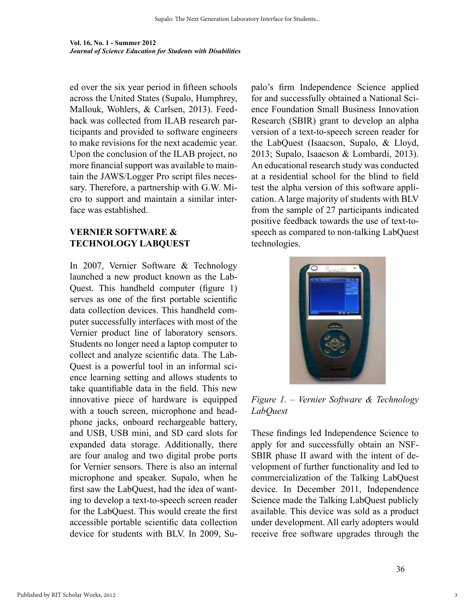ed over the six year period in fifteen schools across the United States (Supalo, Humphrey, Mallouk, Wohlers, & Carlsen, 2013). Feedback was collected from ILAB research participants and provided to software engineers to make revisions for the next academic year. Upon the conclusion of the ILAB project, no more financial support was available to maintain the JAWS/Logger Pro script files necessary. Therefore, a partnership with G.W. Micro to support and maintain a similar interface was established.

### **Vernier Software & Technology LabQuest**

In 2007, Vernier Software & Technology launched a new product known as the Lab-Quest. This handheld computer (figure 1) serves as one of the first portable scientific data collection devices. This handheld computer successfully interfaces with most of the Vernier product line of laboratory sensors. Students no longer need a laptop computer to collect and analyze scientific data. The Lab-Quest is a powerful tool in an informal science learning setting and allows students to take quantifiable data in the field. This new innovative piece of hardware is equipped with a touch screen, microphone and headphone jacks, onboard rechargeable battery, and USB, USB mini, and SD card slots for expanded data storage. Additionally, there are four analog and two digital probe ports for Vernier sensors. There is also an internal microphone and speaker. Supalo, when he first saw the LabQuest, had the idea of wanting to develop a text-to-speech screen reader for the LabQuest. This would create the first accessible portable scientific data collection device for students with BLV. In 2009, Supalo's firm Independence Science applied for and successfully obtained a National Science Foundation Small Business Innovation Research (SBIR) grant to develop an alpha version of a text-to-speech screen reader for the LabQuest (Isaacson, Supalo, & Lloyd, 2013; Supalo, Isaacson & Lombardi, 2013). An educational research study was conducted at a residential school for the blind to field test the alpha version of this software application. A large majority of students with BLV from the sample of 27 participants indicated positive feedback towards the use of text-tospeech as compared to non-talking LabQuest technologies.



*Figure 1. – Vernier Software & Technology LabQuest*

These findings led Independence Science to apply for and successfully obtain an NSF-SBIR phase II award with the intent of development of further functionality and led to commercialization of the Talking LabQuest device. In December 2011, Independence Science made the Talking LabQuest publicly available. This device was sold as a product under development. All early adopters would receive free software upgrades through the

36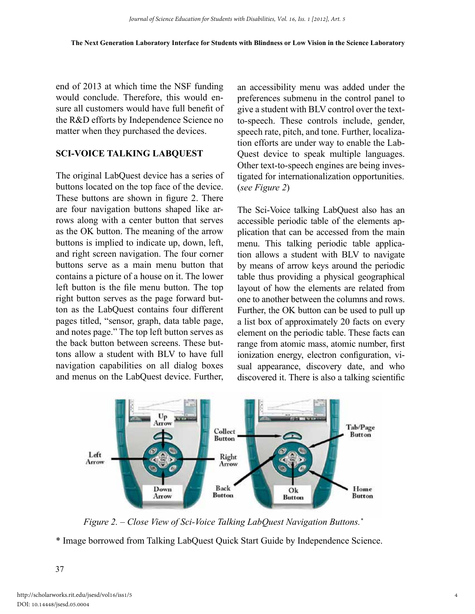end of 2013 at which time the NSF funding would conclude. Therefore, this would ensure all customers would have full benefit of the R&D efforts by Independence Science no matter when they purchased the devices.

#### **Sci-Voice Talking LabQuest**

The original LabQuest device has a series of buttons located on the top face of the device. These buttons are shown in figure 2. There are four navigation buttons shaped like arrows along with a center button that serves as the OK button. The meaning of the arrow buttons is implied to indicate up, down, left, and right screen navigation. The four corner buttons serve as a main menu button that contains a picture of a house on it. The lower left button is the file menu button. The top right button serves as the page forward button as the LabQuest contains four different pages titled, "sensor, graph, data table page, and notes page." The top left button serves as the back button between screens. These buttons allow a student with BLV to have full navigation capabilities on all dialog boxes and menus on the LabQuest device. Further, an accessibility menu was added under the preferences submenu in the control panel to give a student with BLV control over the textto-speech. These controls include, gender, speech rate, pitch, and tone. Further, localization efforts are under way to enable the Lab-Quest device to speak multiple languages. Other text-to-speech engines are being investigated for internationalization opportunities. (*see Figure 2*)

The Sci-Voice talking LabQuest also has an accessible periodic table of the elements application that can be accessed from the main menu. This talking periodic table application allows a student with BLV to navigate by means of arrow keys around the periodic table thus providing a physical geographical layout of how the elements are related from one to another between the columns and rows. Further, the OK button can be used to pull up a list box of approximately 20 facts on every element on the periodic table. These facts can range from atomic mass, atomic number, first ionization energy, electron configuration, visual appearance, discovery date, and who discovered it. There is also a talking scientific



*Figure 2. – Close View of Sci-Voice Talking LabQuest Navigation Buttons.\**

\* Image borrowed from Talking LabQuest Quick Start Guide by Independence Science.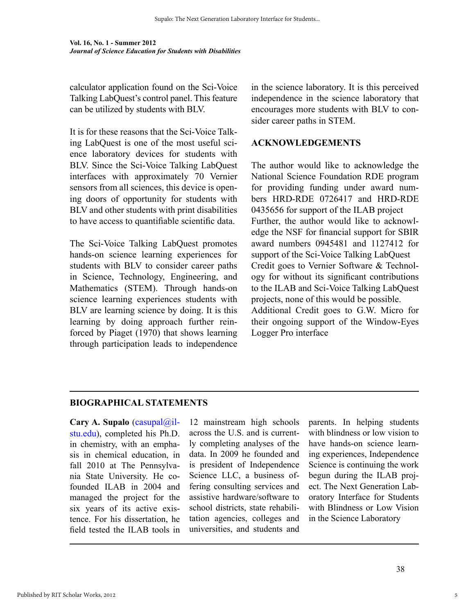calculator application found on the Sci-Voice Talking LabQuest's control panel. This feature can be utilized by students with BLV.

It is for these reasons that the Sci-Voice Talking LabQuest is one of the most useful science laboratory devices for students with BLV. Since the Sci-Voice Talking LabQuest interfaces with approximately 70 Vernier sensors from all sciences, this device is opening doors of opportunity for students with BLV and other students with print disabilities to have access to quantifiable scientific data.

The Sci-Voice Talking LabQuest promotes hands-on science learning experiences for students with BLV to consider career paths in Science, Technology, Engineering, and Mathematics (STEM). Through hands-on science learning experiences students with BLV are learning science by doing. It is this learning by doing approach further reinforced by Piaget (1970) that shows learning through participation leads to independence

in the science laboratory. It is this perceived independence in the science laboratory that encourages more students with BLV to consider career paths in STEM.

### **Acknowledgements**

The author would like to acknowledge the National Science Foundation RDE program for providing funding under award numbers HRD-RDE 0726417 and HRD-RDE 0435656 for support of the ILAB project Further, the author would like to acknowledge the NSF for financial support for SBIR award numbers 0945481 and 1127412 for support of the Sci-Voice Talking LabQuest Credit goes to Vernier Software & Technology for without its significant contributions to the ILAB and Sci-Voice Talking LabQuest projects, none of this would be possible. Additional Credit goes to G.W. Micro for their ongoing support of the Window-Eyes Logger Pro interface

## **Biographical Statements**

Cary A. Supalo [\(casupal@il](mailto:casupal%40ilstu.edu?subject=)[stu.edu](mailto:casupal%40ilstu.edu?subject=)), completed his Ph.D. in chemistry, with an emphasis in chemical education, in fall 2010 at The Pennsylvania State University. He cofounded ILAB in 2004 and managed the project for the six years of its active existence. For his dissertation, he field tested the ILAB tools in

12 mainstream high schools across the U.S. and is currently completing analyses of the data. In 2009 he founded and is president of Independence Science LLC, a business offering consulting services and assistive hardware/software to school districts, state rehabilitation agencies, colleges and universities, and students and parents. In helping students with blindness or low vision to have hands-on science learning experiences, Independence Science is continuing the work begun during the ILAB project. The Next Generation Laboratory Interface for Students with Blindness or Low Vision in the Science Laboratory

5